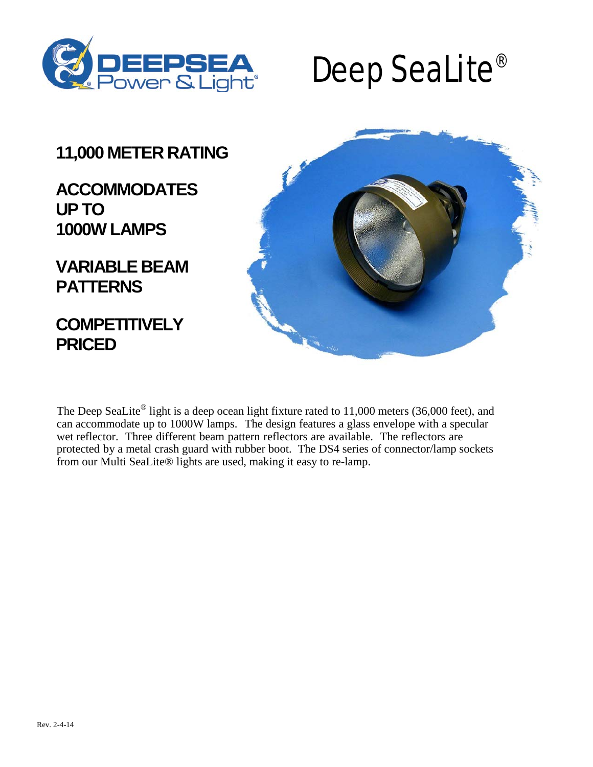

# Deep SeaLite®

## **11,000 METER RATING**

## **ACCOMMODATES UPTO 1000W LAMPS**

**VARIABLE BEAM PATTERNS**

**COMPETITIVELY PRICED**



The Deep SeaLite<sup>®</sup> light is a deep ocean light fixture rated to 11,000 meters (36,000 feet), and can accommodate up to 1000W lamps. The design features a glass envelope with a specular wet reflector. Three different beam pattern reflectors are available. The reflectors are protected by a metal crash guard with rubber boot. The DS4 series of connector/lamp sockets from our Multi SeaLite® lights are used, making it easy to re-lamp.